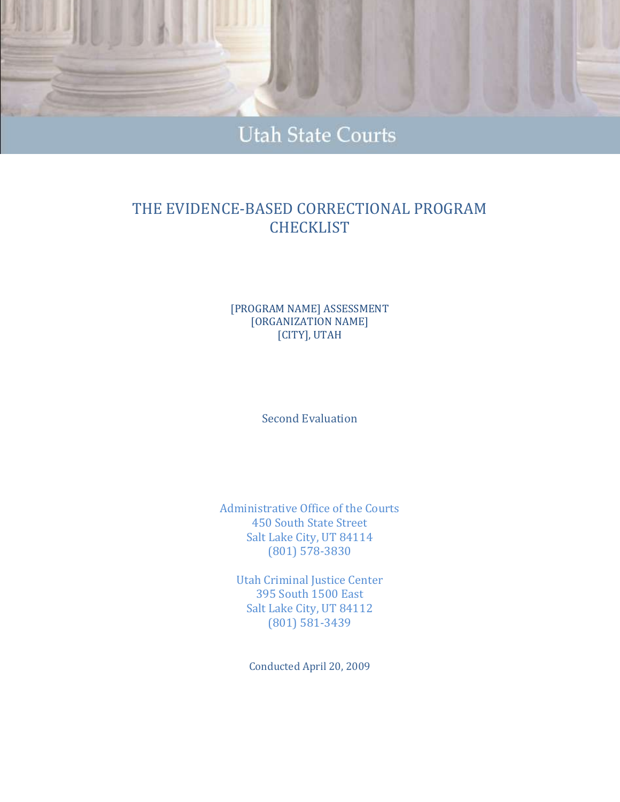

# **Utah State Courts**

# THE EVIDENCE-BASED CORRECTIONAL PROGRAM **CHECKLIST**

#### [PROGRAM NAME] ASSESSMENT [ORGANIZATION NAME] [CITY], UTAH

Second Evaluation

Administrative Office of the Courts 450 South State Street Salt Lake City, UT 84114 (801) 578-3830

Utah Criminal Justice Center 395 South 1500 East Salt Lake City, UT 84112 (801) 581-3439

Conducted April 20, 2009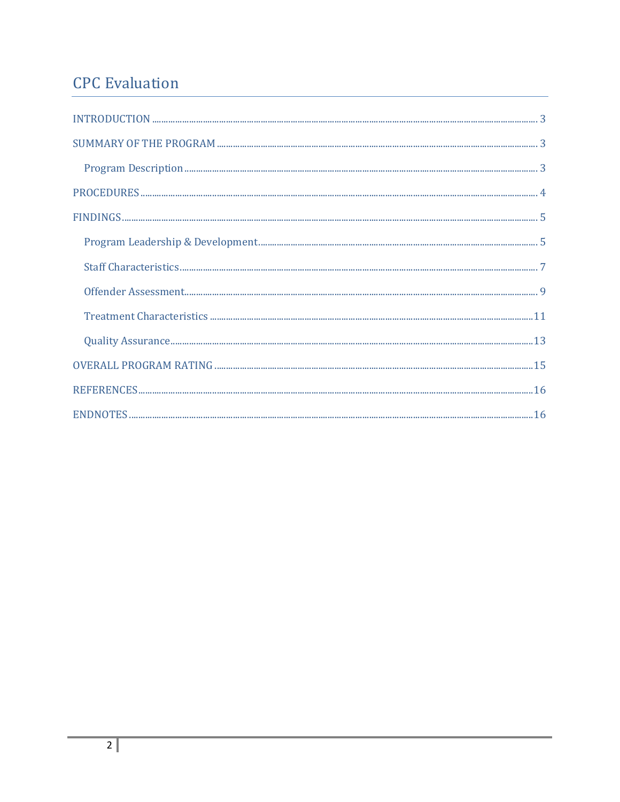# **CPC** Evaluation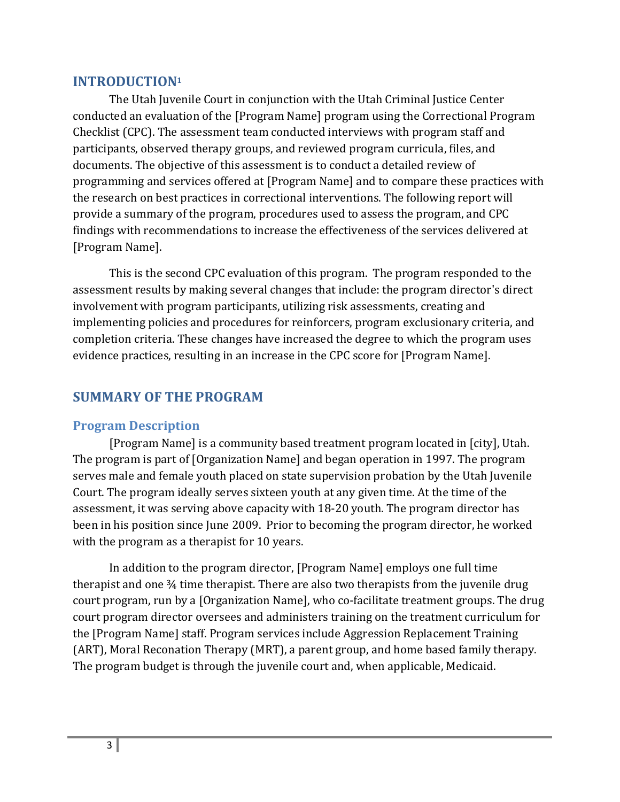# **INTRODUCTION<sup>1</sup>**

The Utah Juvenile Court in conjunction with the Utah Criminal Justice Center conducted an evaluation of the [Program Name] program using the Correctional Program Checklist (CPC). The assessment team conducted interviews with program staff and participants, observed therapy groups, and reviewed program curricula, files, and documents. The objective of this assessment is to conduct a detailed review of programming and services offered at [Program Name] and to compare these practices with the research on best practices in correctional interventions. The following report will provide a summary of the program, procedures used to assess the program, and CPC findings with recommendations to increase the effectiveness of the services delivered at [Program Name].

This is the second CPC evaluation of this program. The program responded to the assessment results by making several changes that include: the program director's direct involvement with program participants, utilizing risk assessments, creating and implementing policies and procedures for reinforcers, program exclusionary criteria, and completion criteria. These changes have increased the degree to which the program uses evidence practices, resulting in an increase in the CPC score for [Program Name].

# **SUMMARY OF THE PROGRAM**

#### **Program Description**

[Program Name] is a community based treatment program located in [city], Utah. The program is part of [Organization Name] and began operation in 1997. The program serves male and female youth placed on state supervision probation by the Utah Juvenile Court. The program ideally serves sixteen youth at any given time. At the time of the assessment, it was serving above capacity with 18-20 youth. The program director has been in his position since June 2009. Prior to becoming the program director, he worked with the program as a therapist for 10 years.

In addition to the program director, [Program Name] employs one full time therapist and one ¾ time therapist. There are also two therapists from the juvenile drug court program, run by a [Organization Name], who co-facilitate treatment groups. The drug court program director oversees and administers training on the treatment curriculum for the [Program Name] staff. Program services include Aggression Replacement Training (ART), Moral Reconation Therapy (MRT), a parent group, and home based family therapy. The program budget is through the juvenile court and, when applicable, Medicaid.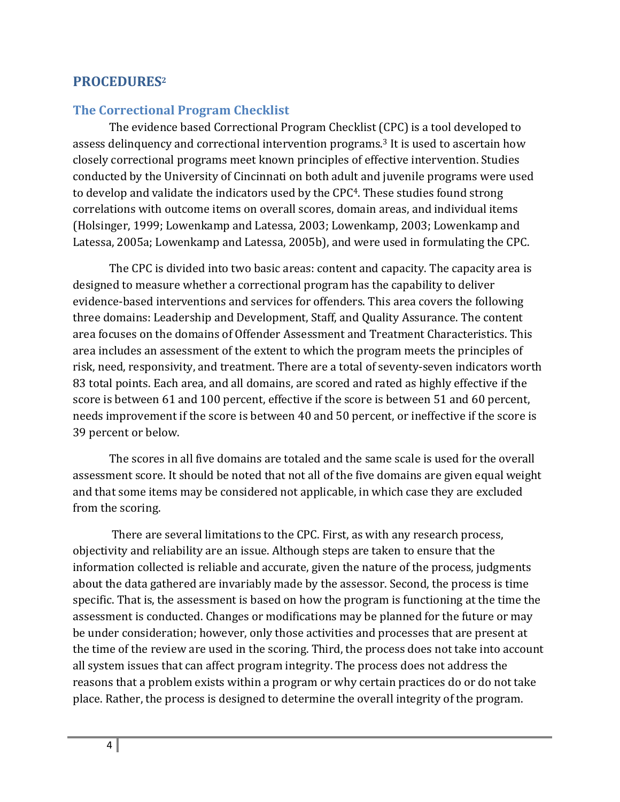# **PROCEDURES<sup>2</sup>**

#### **The Correctional Program Checklist**

The evidence based Correctional Program Checklist (CPC) is a tool developed to assess delinquency and correctional intervention programs. <sup>3</sup> It is used to ascertain how closely correctional programs meet known principles of effective intervention. Studies conducted by the University of Cincinnati on both adult and juvenile programs were used to develop and validate the indicators used by the CPC4. These studies found strong correlations with outcome items on overall scores, domain areas, and individual items (Holsinger, 1999; Lowenkamp and Latessa, 2003; Lowenkamp, 2003; Lowenkamp and Latessa, 2005a; Lowenkamp and Latessa, 2005b), and were used in formulating the CPC.

The CPC is divided into two basic areas: content and capacity. The capacity area is designed to measure whether a correctional program has the capability to deliver evidence-based interventions and services for offenders. This area covers the following three domains: Leadership and Development, Staff, and Quality Assurance. The content area focuses on the domains of Offender Assessment and Treatment Characteristics. This area includes an assessment of the extent to which the program meets the principles of risk, need, responsivity, and treatment. There are a total of seventy-seven indicators worth 83 total points. Each area, and all domains, are scored and rated as highly effective if the score is between 61 and 100 percent, effective if the score is between 51 and 60 percent, needs improvement if the score is between 40 and 50 percent, or ineffective if the score is 39 percent or below.

The scores in all five domains are totaled and the same scale is used for the overall assessment score. It should be noted that not all of the five domains are given equal weight and that some items may be considered not applicable, in which case they are excluded from the scoring.

There are several limitations to the CPC. First, as with any research process, objectivity and reliability are an issue. Although steps are taken to ensure that the information collected is reliable and accurate, given the nature of the process, judgments about the data gathered are invariably made by the assessor. Second, the process is time specific. That is, the assessment is based on how the program is functioning at the time the assessment is conducted. Changes or modifications may be planned for the future or may be under consideration; however, only those activities and processes that are present at the time of the review are used in the scoring. Third, the process does not take into account all system issues that can affect program integrity. The process does not address the reasons that a problem exists within a program or why certain practices do or do not take place. Rather, the process is designed to determine the overall integrity of the program.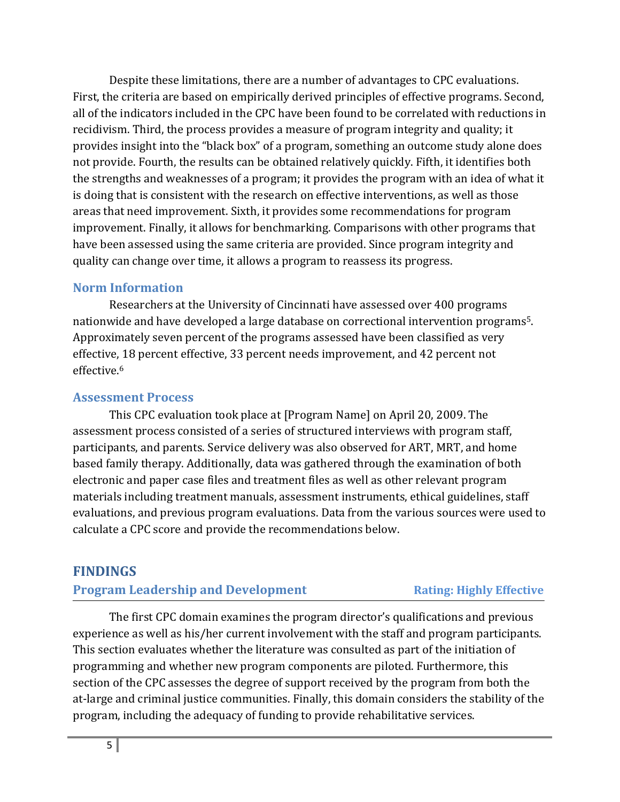Despite these limitations, there are a number of advantages to CPC evaluations. First, the criteria are based on empirically derived principles of effective programs. Second, all of the indicators included in the CPC have been found to be correlated with reductions in recidivism. Third, the process provides a measure of program integrity and quality; it provides insight into the "black box" of a program, something an outcome study alone does not provide. Fourth, the results can be obtained relatively quickly. Fifth, it identifies both the strengths and weaknesses of a program; it provides the program with an idea of what it is doing that is consistent with the research on effective interventions, as well as those areas that need improvement. Sixth, it provides some recommendations for program improvement. Finally, it allows for benchmarking. Comparisons with other programs that have been assessed using the same criteria are provided. Since program integrity and quality can change over time, it allows a program to reassess its progress.

# **Norm Information**

Researchers at the University of Cincinnati have assessed over 400 programs nationwide and have developed a large database on correctional intervention programs5. Approximately seven percent of the programs assessed have been classified as very effective, 18 percent effective, 33 percent needs improvement, and 42 percent not effective.<sup>6</sup>

# **Assessment Process**

This CPC evaluation took place at [Program Name] on April 20, 2009. The assessment process consisted of a series of structured interviews with program staff, participants, and parents. Service delivery was also observed for ART, MRT, and home based family therapy. Additionally, data was gathered through the examination of both electronic and paper case files and treatment files as well as other relevant program materials including treatment manuals, assessment instruments, ethical guidelines, staff evaluations, and previous program evaluations. Data from the various sources were used to calculate a CPC score and provide the recommendations below.

# **FINDINGS**

# **Program Leadership and Development Rating: Highly Effective**

The first CPC domain examines the program director's qualifications and previous experience as well as his/her current involvement with the staff and program participants. This section evaluates whether the literature was consulted as part of the initiation of programming and whether new program components are piloted. Furthermore, this section of the CPC assesses the degree of support received by the program from both the at-large and criminal justice communities. Finally, this domain considers the stability of the program, including the adequacy of funding to provide rehabilitative services.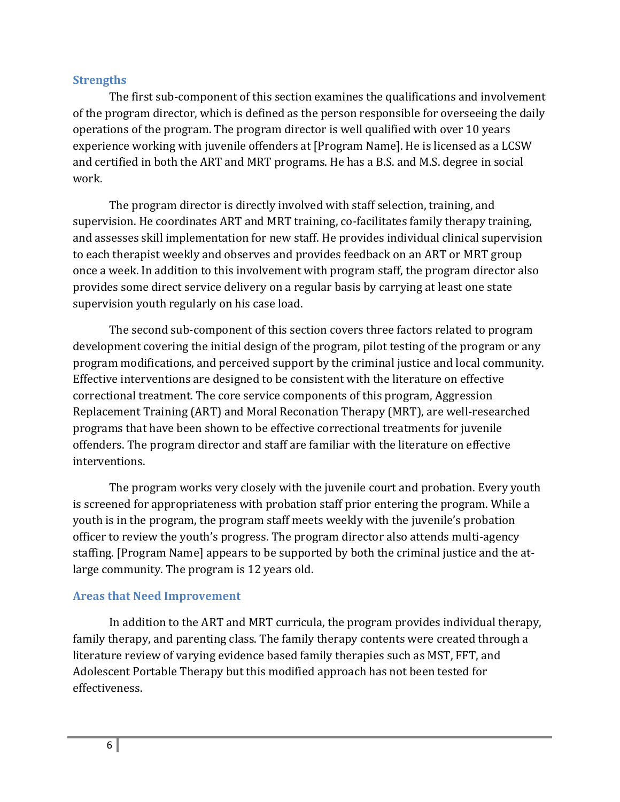### **Strengths**

The first sub-component of this section examines the qualifications and involvement of the program director, which is defined as the person responsible for overseeing the daily operations of the program. The program director is well qualified with over 10 years experience working with juvenile offenders at [Program Name]. He is licensed as a LCSW and certified in both the ART and MRT programs. He has a B.S. and M.S. degree in social work.

The program director is directly involved with staff selection, training, and supervision. He coordinates ART and MRT training, co-facilitates family therapy training, and assesses skill implementation for new staff. He provides individual clinical supervision to each therapist weekly and observes and provides feedback on an ART or MRT group once a week. In addition to this involvement with program staff, the program director also provides some direct service delivery on a regular basis by carrying at least one state supervision youth regularly on his case load.

The second sub-component of this section covers three factors related to program development covering the initial design of the program, pilot testing of the program or any program modifications, and perceived support by the criminal justice and local community. Effective interventions are designed to be consistent with the literature on effective correctional treatment. The core service components of this program, Aggression Replacement Training (ART) and Moral Reconation Therapy (MRT), are well-researched programs that have been shown to be effective correctional treatments for juvenile offenders. The program director and staff are familiar with the literature on effective interventions.

The program works very closely with the juvenile court and probation. Every youth is screened for appropriateness with probation staff prior entering the program. While a youth is in the program, the program staff meets weekly with the juvenile's probation officer to review the youth's progress. The program director also attends multi-agency staffing. [Program Name] appears to be supported by both the criminal justice and the atlarge community. The program is 12 years old.

# **Areas that Need Improvement**

In addition to the ART and MRT curricula, the program provides individual therapy, family therapy, and parenting class. The family therapy contents were created through a literature review of varying evidence based family therapies such as MST, FFT, and Adolescent Portable Therapy but this modified approach has not been tested for effectiveness.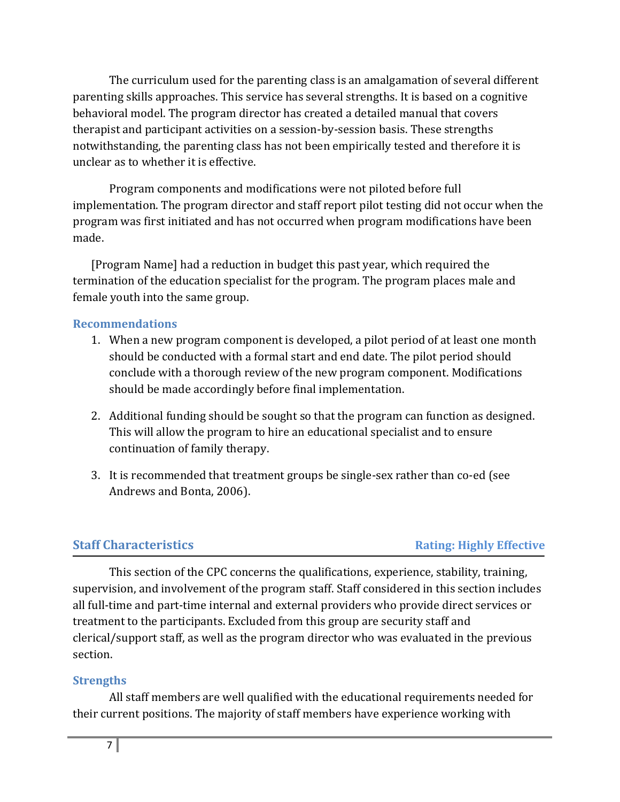The curriculum used for the parenting class is an amalgamation of several different parenting skills approaches. This service has several strengths. It is based on a cognitive behavioral model. The program director has created a detailed manual that covers therapist and participant activities on a session-by-session basis. These strengths notwithstanding, the parenting class has not been empirically tested and therefore it is unclear as to whether it is effective.

Program components and modifications were not piloted before full implementation. The program director and staff report pilot testing did not occur when the program was first initiated and has not occurred when program modifications have been made.

[Program Name] had a reduction in budget this past year, which required the termination of the education specialist for the program. The program places male and female youth into the same group.

### **Recommendations**

- 1. When a new program component is developed, a pilot period of at least one month should be conducted with a formal start and end date. The pilot period should conclude with a thorough review of the new program component. Modifications should be made accordingly before final implementation.
- 2. Additional funding should be sought so that the program can function as designed. This will allow the program to hire an educational specialist and to ensure continuation of family therapy.
- 3. It is recommended that treatment groups be single-sex rather than co-ed (see Andrews and Bonta, 2006).

# **Staff Characteristics Rating: Highly Effective**

This section of the CPC concerns the qualifications, experience, stability, training, supervision, and involvement of the program staff. Staff considered in this section includes all full-time and part-time internal and external providers who provide direct services or treatment to the participants. Excluded from this group are security staff and clerical/support staff, as well as the program director who was evaluated in the previous section.

# **Strengths**

All staff members are well qualified with the educational requirements needed for their current positions. The majority of staff members have experience working with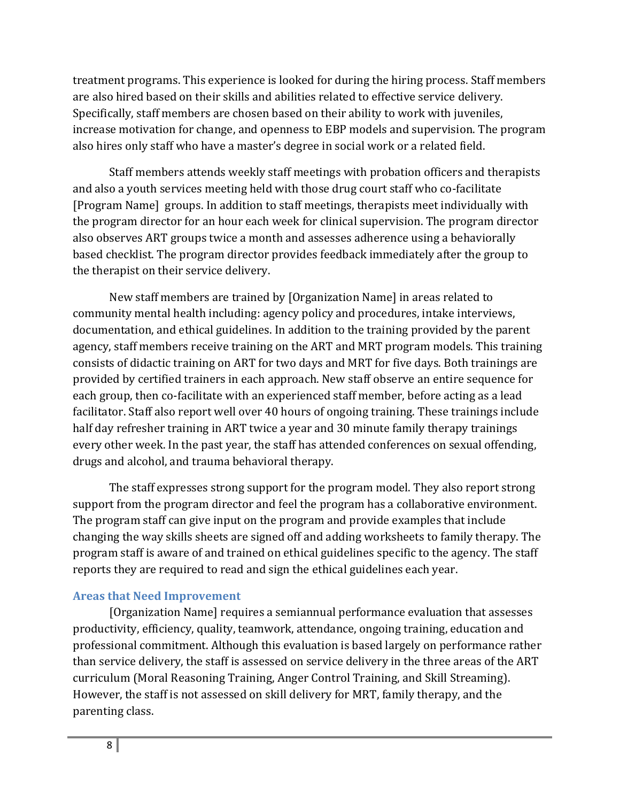treatment programs. This experience is looked for during the hiring process. Staff members are also hired based on their skills and abilities related to effective service delivery. Specifically, staff members are chosen based on their ability to work with juveniles, increase motivation for change, and openness to EBP models and supervision. The program also hires only staff who have a master's degree in social work or a related field.

Staff members attends weekly staff meetings with probation officers and therapists and also a youth services meeting held with those drug court staff who co-facilitate [Program Name] groups. In addition to staff meetings, therapists meet individually with the program director for an hour each week for clinical supervision. The program director also observes ART groups twice a month and assesses adherence using a behaviorally based checklist. The program director provides feedback immediately after the group to the therapist on their service delivery.

New staff members are trained by [Organization Name] in areas related to community mental health including: agency policy and procedures, intake interviews, documentation, and ethical guidelines. In addition to the training provided by the parent agency, staff members receive training on the ART and MRT program models. This training consists of didactic training on ART for two days and MRT for five days. Both trainings are provided by certified trainers in each approach. New staff observe an entire sequence for each group, then co-facilitate with an experienced staff member, before acting as a lead facilitator. Staff also report well over 40 hours of ongoing training. These trainings include half day refresher training in ART twice a year and 30 minute family therapy trainings every other week. In the past year, the staff has attended conferences on sexual offending, drugs and alcohol, and trauma behavioral therapy.

The staff expresses strong support for the program model. They also report strong support from the program director and feel the program has a collaborative environment. The program staff can give input on the program and provide examples that include changing the way skills sheets are signed off and adding worksheets to family therapy. The program staff is aware of and trained on ethical guidelines specific to the agency. The staff reports they are required to read and sign the ethical guidelines each year.

# **Areas that Need Improvement**

[Organization Name] requires a semiannual performance evaluation that assesses productivity, efficiency, quality, teamwork, attendance, ongoing training, education and professional commitment. Although this evaluation is based largely on performance rather than service delivery, the staff is assessed on service delivery in the three areas of the ART curriculum (Moral Reasoning Training, Anger Control Training, and Skill Streaming). However, the staff is not assessed on skill delivery for MRT, family therapy, and the parenting class.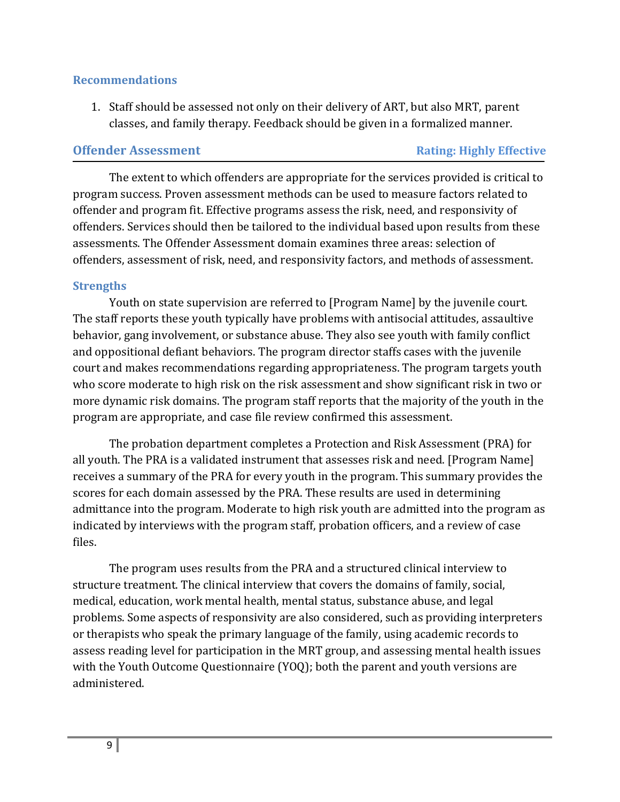#### **Recommendations**

1. Staff should be assessed not only on their delivery of ART, but also MRT, parent classes, and family therapy. Feedback should be given in a formalized manner.

### **Offender Assessment Rating: Highly Effective**

The extent to which offenders are appropriate for the services provided is critical to program success. Proven assessment methods can be used to measure factors related to offender and program fit. Effective programs assess the risk, need, and responsivity of offenders. Services should then be tailored to the individual based upon results from these assessments. The Offender Assessment domain examines three areas: selection of offenders, assessment of risk, need, and responsivity factors, and methods of assessment.

# **Strengths**

Youth on state supervision are referred to [Program Name] by the juvenile court. The staff reports these youth typically have problems with antisocial attitudes, assaultive behavior, gang involvement, or substance abuse. They also see youth with family conflict and oppositional defiant behaviors. The program director staffs cases with the juvenile court and makes recommendations regarding appropriateness. The program targets youth who score moderate to high risk on the risk assessment and show significant risk in two or more dynamic risk domains. The program staff reports that the majority of the youth in the program are appropriate, and case file review confirmed this assessment.

The probation department completes a Protection and Risk Assessment (PRA) for all youth. The PRA is a validated instrument that assesses risk and need. [Program Name] receives a summary of the PRA for every youth in the program. This summary provides the scores for each domain assessed by the PRA. These results are used in determining admittance into the program. Moderate to high risk youth are admitted into the program as indicated by interviews with the program staff, probation officers, and a review of case files.

The program uses results from the PRA and a structured clinical interview to structure treatment. The clinical interview that covers the domains of family, social, medical, education, work mental health, mental status, substance abuse, and legal problems. Some aspects of responsivity are also considered, such as providing interpreters or therapists who speak the primary language of the family, using academic records to assess reading level for participation in the MRT group, and assessing mental health issues with the Youth Outcome Questionnaire (YOQ); both the parent and youth versions are administered.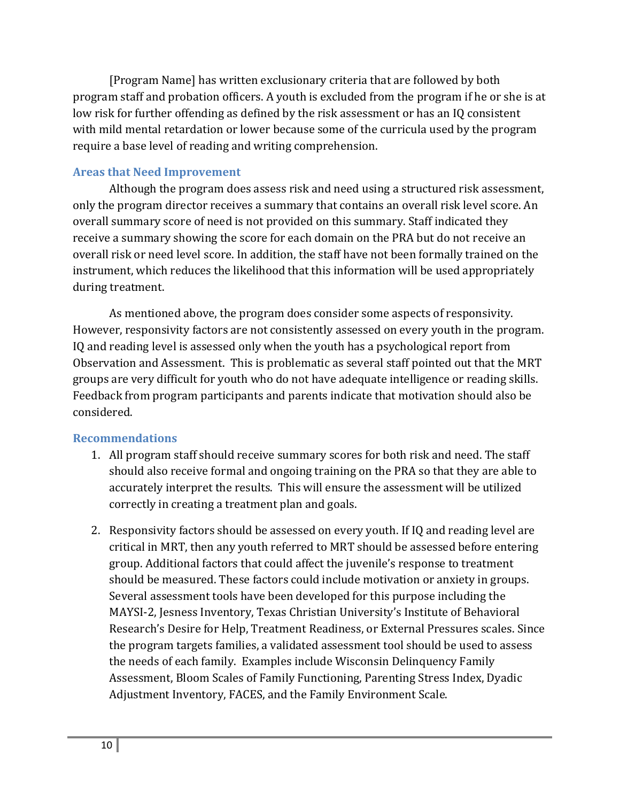[Program Name] has written exclusionary criteria that are followed by both program staff and probation officers. A youth is excluded from the program if he or she is at low risk for further offending as defined by the risk assessment or has an IQ consistent with mild mental retardation or lower because some of the curricula used by the program require a base level of reading and writing comprehension.

# **Areas that Need Improvement**

Although the program does assess risk and need using a structured risk assessment, only the program director receives a summary that contains an overall risk level score. An overall summary score of need is not provided on this summary. Staff indicated they receive a summary showing the score for each domain on the PRA but do not receive an overall risk or need level score. In addition, the staff have not been formally trained on the instrument, which reduces the likelihood that this information will be used appropriately during treatment.

As mentioned above, the program does consider some aspects of responsivity. However, responsivity factors are not consistently assessed on every youth in the program. IQ and reading level is assessed only when the youth has a psychological report from Observation and Assessment. This is problematic as several staff pointed out that the MRT groups are very difficult for youth who do not have adequate intelligence or reading skills. Feedback from program participants and parents indicate that motivation should also be considered.

#### **Recommendations**

- 1. All program staff should receive summary scores for both risk and need. The staff should also receive formal and ongoing training on the PRA so that they are able to accurately interpret the results. This will ensure the assessment will be utilized correctly in creating a treatment plan and goals.
- 2. Responsivity factors should be assessed on every youth. If IQ and reading level are critical in MRT, then any youth referred to MRT should be assessed before entering group. Additional factors that could affect the juvenile's response to treatment should be measured. These factors could include motivation or anxiety in groups. Several assessment tools have been developed for this purpose including the MAYSI-2, Jesness Inventory, Texas Christian University's Institute of Behavioral Research's Desire for Help, Treatment Readiness, or External Pressures scales. Since the program targets families, a validated assessment tool should be used to assess the needs of each family. Examples include Wisconsin Delinquency Family Assessment, Bloom Scales of Family Functioning, Parenting Stress Index, Dyadic Adjustment Inventory, FACES, and the Family Environment Scale.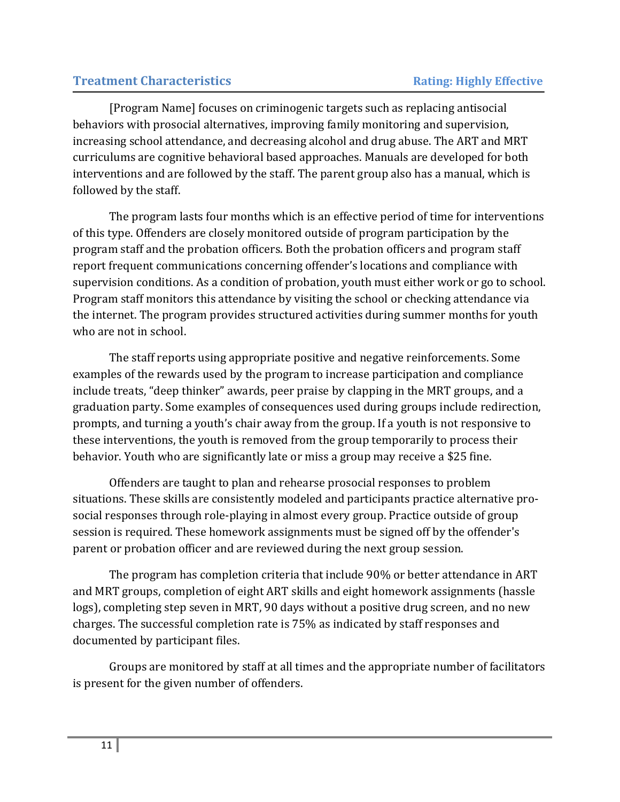# **Treatment Characteristics** *Rating: Highly Effective*

[Program Name] focuses on criminogenic targets such as replacing antisocial behaviors with prosocial alternatives, improving family monitoring and supervision, increasing school attendance, and decreasing alcohol and drug abuse. The ART and MRT curriculums are cognitive behavioral based approaches. Manuals are developed for both interventions and are followed by the staff. The parent group also has a manual, which is followed by the staff.

The program lasts four months which is an effective period of time for interventions of this type. Offenders are closely monitored outside of program participation by the program staff and the probation officers. Both the probation officers and program staff report frequent communications concerning offender's locations and compliance with supervision conditions. As a condition of probation, youth must either work or go to school. Program staff monitors this attendance by visiting the school or checking attendance via the internet. The program provides structured activities during summer months for youth who are not in school.

The staff reports using appropriate positive and negative reinforcements. Some examples of the rewards used by the program to increase participation and compliance include treats, "deep thinker" awards, peer praise by clapping in the MRT groups, and a graduation party. Some examples of consequences used during groups include redirection, prompts, and turning a youth's chair away from the group. If a youth is not responsive to these interventions, the youth is removed from the group temporarily to process their behavior. Youth who are significantly late or miss a group may receive a \$25 fine.

Offenders are taught to plan and rehearse prosocial responses to problem situations. These skills are consistently modeled and participants practice alternative prosocial responses through role-playing in almost every group. Practice outside of group session is required. These homework assignments must be signed off by the offender's parent or probation officer and are reviewed during the next group session.

The program has completion criteria that include 90% or better attendance in ART and MRT groups, completion of eight ART skills and eight homework assignments (hassle logs), completing step seven in MRT, 90 days without a positive drug screen, and no new charges. The successful completion rate is 75% as indicated by staff responses and documented by participant files.

Groups are monitored by staff at all times and the appropriate number of facilitators is present for the given number of offenders.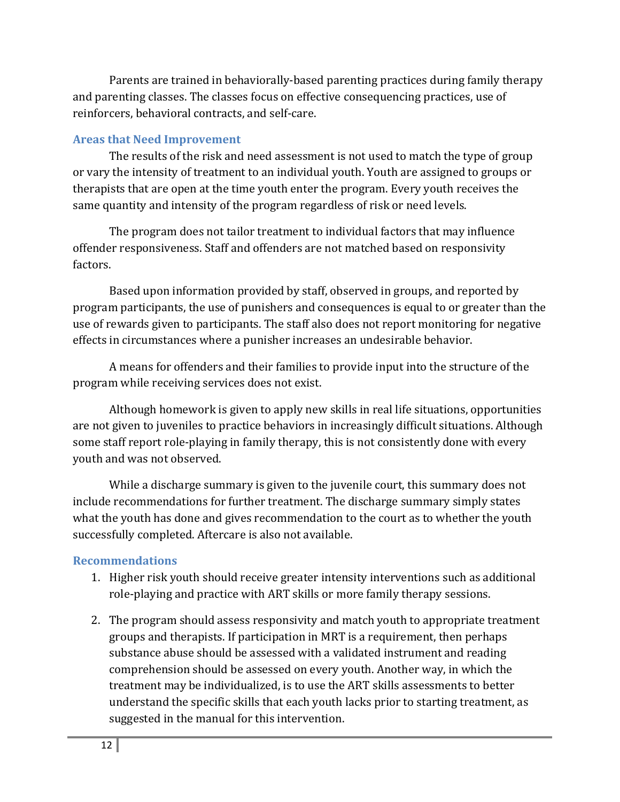Parents are trained in behaviorally-based parenting practices during family therapy and parenting classes. The classes focus on effective consequencing practices, use of reinforcers, behavioral contracts, and self-care.

# **Areas that Need Improvement**

The results of the risk and need assessment is not used to match the type of group or vary the intensity of treatment to an individual youth. Youth are assigned to groups or therapists that are open at the time youth enter the program. Every youth receives the same quantity and intensity of the program regardless of risk or need levels.

The program does not tailor treatment to individual factors that may influence offender responsiveness. Staff and offenders are not matched based on responsivity factors.

Based upon information provided by staff, observed in groups, and reported by program participants, the use of punishers and consequences is equal to or greater than the use of rewards given to participants. The staff also does not report monitoring for negative effects in circumstances where a punisher increases an undesirable behavior.

A means for offenders and their families to provide input into the structure of the program while receiving services does not exist.

Although homework is given to apply new skills in real life situations, opportunities are not given to juveniles to practice behaviors in increasingly difficult situations. Although some staff report role-playing in family therapy, this is not consistently done with every youth and was not observed.

While a discharge summary is given to the juvenile court, this summary does not include recommendations for further treatment. The discharge summary simply states what the youth has done and gives recommendation to the court as to whether the youth successfully completed. Aftercare is also not available.

# **Recommendations**

- 1. Higher risk youth should receive greater intensity interventions such as additional role-playing and practice with ART skills or more family therapy sessions.
- 2. The program should assess responsivity and match youth to appropriate treatment groups and therapists. If participation in MRT is a requirement, then perhaps substance abuse should be assessed with a validated instrument and reading comprehension should be assessed on every youth. Another way, in which the treatment may be individualized, is to use the ART skills assessments to better understand the specific skills that each youth lacks prior to starting treatment, as suggested in the manual for this intervention.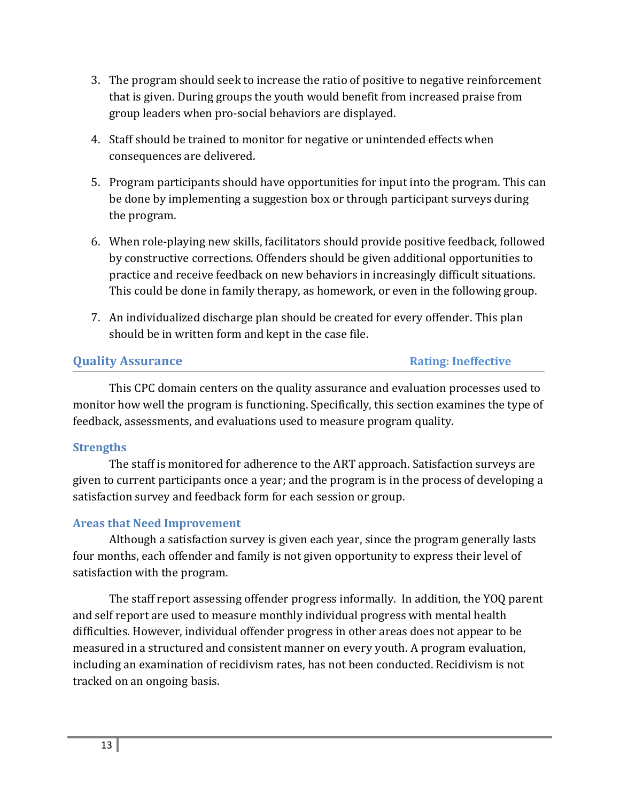- 3. The program should seek to increase the ratio of positive to negative reinforcement that is given. During groups the youth would benefit from increased praise from group leaders when pro-social behaviors are displayed.
- 4. Staff should be trained to monitor for negative or unintended effects when consequences are delivered.
- 5. Program participants should have opportunities for input into the program. This can be done by implementing a suggestion box or through participant surveys during the program.
- 6. When role-playing new skills, facilitators should provide positive feedback, followed by constructive corrections. Offenders should be given additional opportunities to practice and receive feedback on new behaviors in increasingly difficult situations. This could be done in family therapy, as homework, or even in the following group.
- 7. An individualized discharge plan should be created for every offender. This plan should be in written form and kept in the case file.

# **Quality Assurance Rating:** Ineffective

This CPC domain centers on the quality assurance and evaluation processes used to monitor how well the program is functioning. Specifically, this section examines the type of feedback, assessments, and evaluations used to measure program quality.

# **Strengths**

The staff is monitored for adherence to the ART approach. Satisfaction surveys are given to current participants once a year; and the program is in the process of developing a satisfaction survey and feedback form for each session or group.

# **Areas that Need Improvement**

Although a satisfaction survey is given each year, since the program generally lasts four months, each offender and family is not given opportunity to express their level of satisfaction with the program.

The staff report assessing offender progress informally. In addition, the YOQ parent and self report are used to measure monthly individual progress with mental health difficulties. However, individual offender progress in other areas does not appear to be measured in a structured and consistent manner on every youth. A program evaluation, including an examination of recidivism rates, has not been conducted. Recidivism is not tracked on an ongoing basis.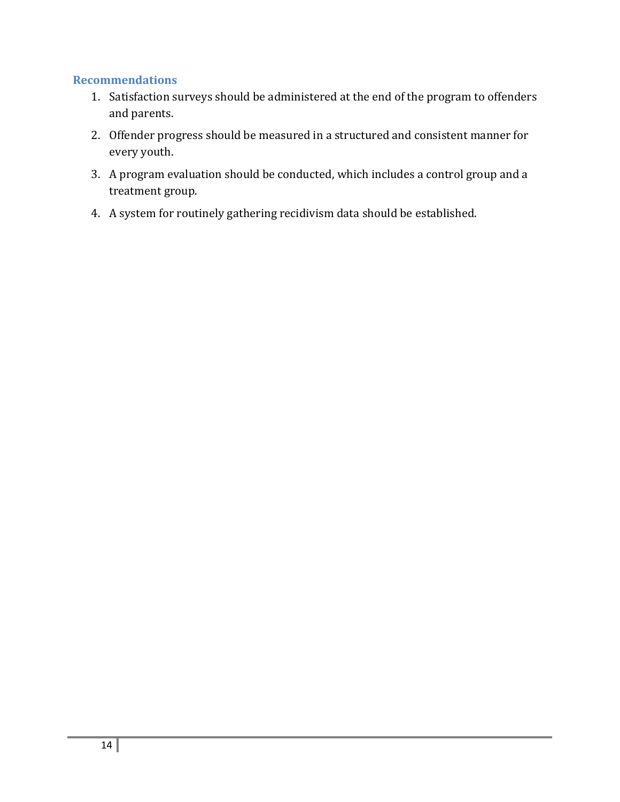#### **Recommendations**

- 1. Satisfaction surveys should be administered at the end of the program to offenders and parents.
- 2. Offender progress should be measured in a structured and consistent manner for every youth.
- 3. A program evaluation should be conducted, which includes a control group and a treatment group.
- 4. A system for routinely gathering recidivism data should be established.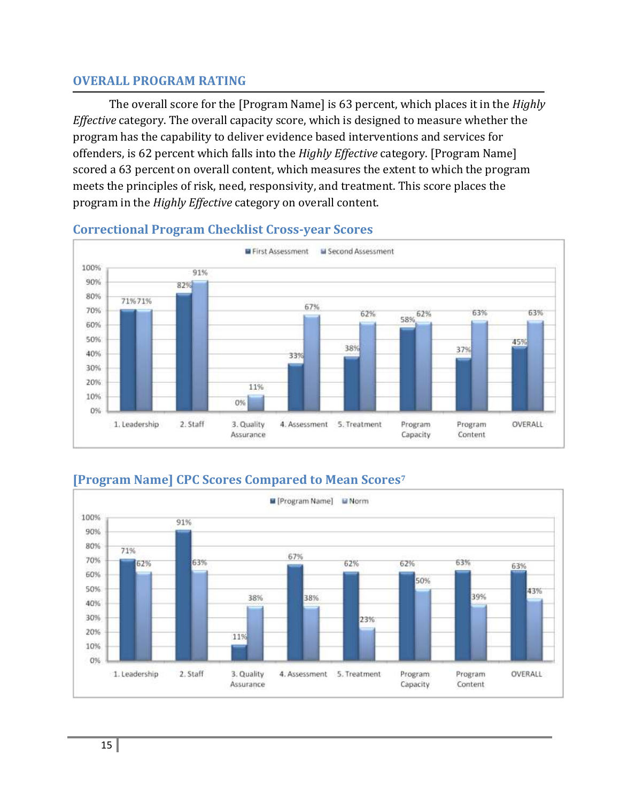### **OVERALL PROGRAM RATING**

The overall score for the [Program Name] is 63 percent, which places it in the *Highly Effective* category. The overall capacity score, which is designed to measure whether the program has the capability to deliver evidence based interventions and services for offenders, is 62 percent which falls into the *Highly Effective* category. [Program Name] scored a 63 percent on overall content, which measures the extent to which the program meets the principles of risk, need, responsivity, and treatment. This score places the program in the *Highly Effective* category on overall content.



# **Correctional Program Checklist Cross-year Scores**

# **[Program Name] CPC Scores Compared to Mean Scores<sup>7</sup>**